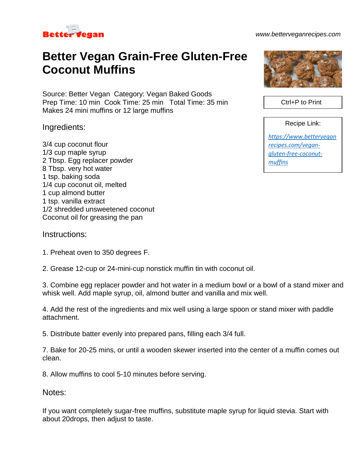

*www.betterveganrecipes.com*

## **Better Vegan Grain-Free Gluten-Free Coconut Muffins**

Source: Better Vegan Category: Vegan Baked Goods Prep Time: 10 min Cook Time: 25 min Total Time: 35 min Makes 24 mini muffins or 12 large muffins

Ingredients:

3/4 cup coconut flour 1/3 cup maple syrup 2 Tbsp. Egg replacer powder 8 Tbsp. very hot water 1 tsp. baking soda 1/4 cup coconut oil, melted 1 cup almond butter 1 tsp. vanilla extract 1/2 shredded unsweetened coconut Coconut oil for greasing the pan

## Instructions:

1. Preheat oven to 350 degrees F.

2. Grease 12-cup or 24-mini-cup nonstick muffin tin with coconut oil.

3. Combine egg replacer powder and hot water in a medium bowl or a bowl of a stand mixer and whisk well. Add maple syrup, oil, almond butter and vanilla and mix well.

4. Add the rest of the ingredients and mix well using a large spoon or stand mixer with paddle attachment.

5. Distribute batter evenly into prepared pans, filling each 3/4 full.

7. Bake for 20-25 mins, or until a wooden skewer inserted into the center of a muffin comes out clean.

8. Allow muffins to cool 5-10 minutes before serving.

Notes:

If you want completely sugar-free muffins, substitute maple syrup for liquid stevia. Start with about 20drops, then adjust to taste.



Ctrl+P to Print

Recipe Link:

*[https://www.bettervegan](https://www.betterveganrecipes.com/vegan-gluten-free-coconut-muffins) [recipes.com/vegan](https://www.betterveganrecipes.com/vegan-gluten-free-coconut-muffins)[gluten-free-coconut](https://www.betterveganrecipes.com/vegan-gluten-free-coconut-muffins)[muffins](https://www.betterveganrecipes.com/vegan-gluten-free-coconut-muffins)*